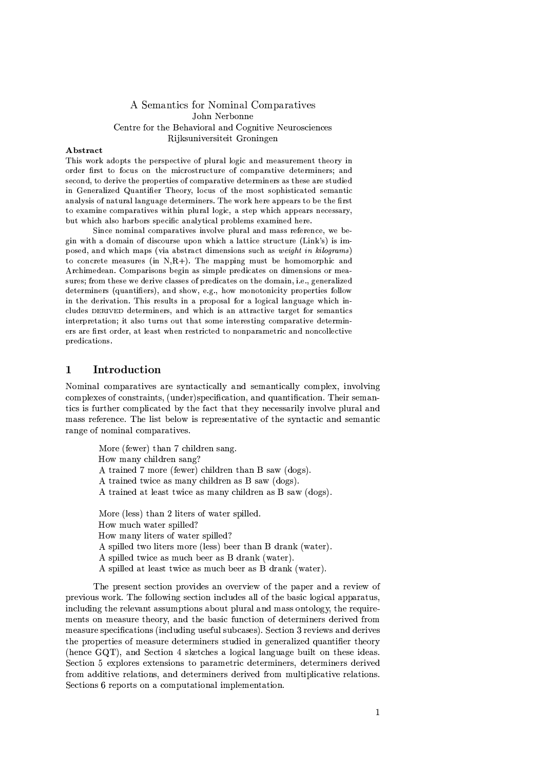# A Semantics for Nominal Comparatives John Nerbonne Centre for the Behavioral and Cognitive Neurosciences Riiksuniversiteit Groningen

# **A** hetract

This work adopts the perspective of plural logic and measurement theory in order first to focus on the microstructure of comparative determiners; and second, to derive the properties of comparative determiners as these are studied in Generalized Quantifier Theory, locus of the most sophisticated semantic analysis of natural language determiners. The work here appears to be the first to examine comparatives within plural logic, a step which appears necessary, but which also harbors specific analytical problems examined here.

Since nominal comparatives involve plural and mass reference, we begin with a domain of discourse upon which a lattice structure (Link's) is imposed, and which maps (via abstract dimensions such as *weight in kilograms*) to concrete measures (in  $N,R+$ ). The mapping must be homomorphic and Archimedean. Comparisons begin as simple predicates on dimensions or measures; from these we derive classes of predicates on the domain, i.e., generalized determiners (quantifiers), and show, e.g., how monotonicity properties follow in the derivation. This results in a proposal for a logical language which includes DERIVED determiners, and which is an attractive target for semantics interpretation: it also turns out that some interesting comparative determiners are first order, at least when restricted to nonparametric and noncollective predications.

### $\mathbf{1}$ Introduction

Nominal comparatives are syntactically and semantically complex, involving complexes of constraints, (under)specification, and quantification. Their semantics is further complicated by the fact that they necessarily involve plural and mass reference. The list below is representative of the syntactic and semantic range of nominal comparatives.

> More (fewer) than 7 children sang. How many children sang? A trained 7 more (fewer) children than B saw (dogs). A trained twice as many children as B saw (dogs). A trained at least twice as many children as B saw (dogs). More (less) than 2 liters of water spilled. How much water spilled? How many liters of water spilled? A spilled two liters more (less) beer than B drank (water). A spilled twice as much beer as B drank (water). A spilled at least twice as much beer as B drank (water).

The present section provides an overview of the paper and a review of previous work. The following section includes all of the basic logical apparatus, including the relevant assumptions about plural and mass ontology, the requirements on measure theory, and the basic function of determiners derived from measure specifications (including useful subcases). Section 3 reviews and derives the properties of measure determiners studied in generalized quantifier theory (hence GQT), and Section 4 sketches a logical language built on these ideas. Section 5 explores extensions to parametric determiners, determiners derived from additive relations, and determiners derived from multiplicative relations. Sections 6 reports on a computational implementation.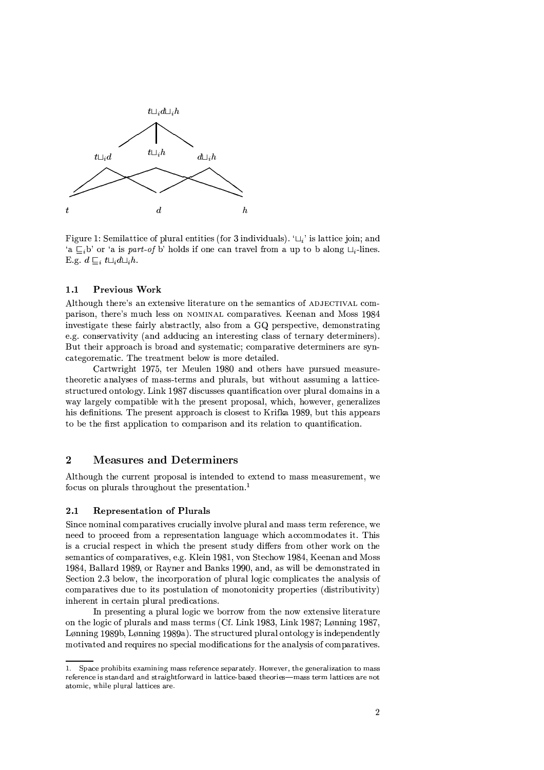

Figure 1: Semilattice of plural entities (for 3 individuals).  $\mathcal{L}_i$  is lattice join; and 'a  $\subseteq_i$ b' or 'a is part-of b' holds if one can travel from a up to b along  $\sqcup_i$ -lines. E.g.  $d \sqsubseteq_i t \sqcup_i d \sqcup_i h$ .

#### $1.1$ Previous Work

Although there's an extensive literature on the semantics of ADJECTIVAL comparison, there's much less on NOMINAL comparatives. Keenan and Moss 1984 investigate these fairly abstractly, also from a GQ perspective, demonstrating e.g. conservativity (and adducing an interesting class of ternary determiners). But their approach is broad and systematic; comparative determiners are syncategorematic. The treatment below is more detailed.

Cartwright 1975, ter Meulen 1980 and others have pursued measuretheoretic analyses of mass-terms and plurals, but without assuming a latticestructured ontology. Link 1987 discusses quantification over plural domains in a way largely compatible with the present proposal, which, however, generalizes his definitions. The present approach is closest to Krifka 1989, but this appears to be the first application to comparison and its relation to quantification.

# $\overline{2}$ **Measures and Determiners**

Although the current proposal is intended to extend to mass measurement, we focus on plurals throughout the presentation.<sup>1</sup>

#### $2.1$ **Representation of Plurals**

Since nominal comparatives crucially involve plural and mass term reference, we need to proceed from a representation language which accommodates it. This is a crucial respect in which the present study differs from other work on the semantics of comparatives, e.g. Klein 1981, von Stechow 1984, Keenan and Moss 1984, Ballard 1989, or Rayner and Banks 1990, and, as will be demonstrated in Section 2.3 below, the incorporation of plural logic complicates the analysis of comparatives due to its postulation of monotonicity properties (distributivity) inherent in certain plural predications.

In presenting a plural logic we borrow from the now extensive literature on the logic of plurals and mass terms (Cf. Link 1983, Link 1987; Lønning 1987, Lønning 1989b, Lønning 1989a). The structured plural ontology is independently motivated and requires no special modifications for the analysis of comparatives.

<sup>1.</sup> Space prohibits examining mass reference separately. However, the generalization to mass reference is standard and straightforward in lattice-based theories—mass term lattices are not atomic, while plural lattices are.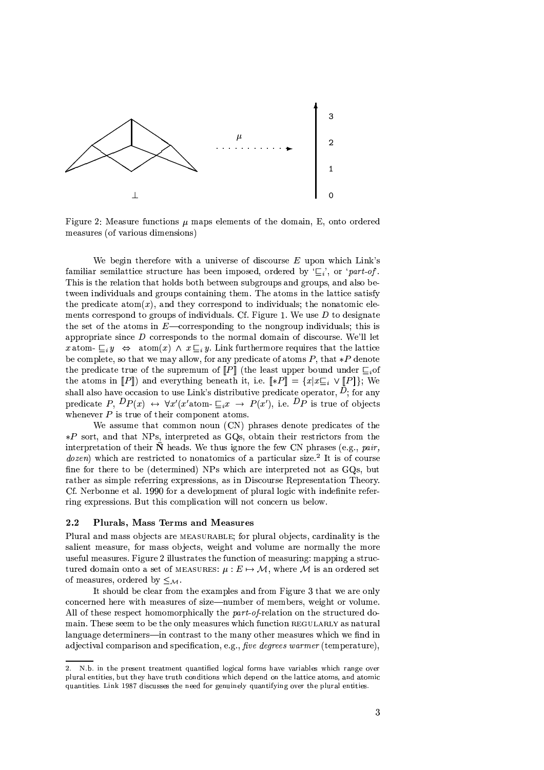

Figure 2: Measure functions  $\mu$  maps elements of the domain, E, onto ordered measures (of various dimensions)

We begin therefore with a universe of discourse  $E$  upon which  $Link's$ familiar semilattice structure has been imposed, ordered by  $E_i$ , or 'part-of'. This is the relation that holds both between subgroups and groups, and also between individuals and groups containing them. The atoms in the lattice satisfy the predicate atom(x), and they correspond to individuals; the nonatomic elements correspond to groups of individuals. Cf. Figure 1. We use  $D$  to designate the set of the atoms in  $E$ —corresponding to the nongroup individuals; this is appropriate since  $D$  corresponds to the normal domain of discourse. We'll let x atom- $\Box_i y \Leftrightarrow \text{atom}(x) \land x \Box_i y$ . Link furthermore requires that the lattice be complete, so that we may allow, for any predicate of atoms  $P$ , that  $*P$  denote the predicate true of the supremum of  $[P]$  (the least upper bound under  $\sqsubseteq_i$  of the atoms in  $[P\rrbracket)$  and everything beneath it, i.e.  $\llbracket *P \rrbracket = \{x | x \sqsubseteq_i \vee [P] \}$ ; We shall also have occasion to use Link's distributive predicate operator,  $\vec{D}$ ; for any predicate P,  $Dp(x) \leftrightarrow \forall x'(x'\text{atom-}\sqsubseteq_i x \rightarrow P(x')$ , i.e.  $Dp$  is true of objects whenever  $P$  is true of their component atoms.

We assume that common noun (CN) phrases denote predicates of the  $*P$  sort, and that NPs, interpreted as GOs, obtain their restrictors from the interpretation of their  $\bar{\mathbf{N}}$  heads. We thus ignore the few CN phrases (e.g., pair, *dozen*) which are restricted to nonatomics of a particular size.<sup>2</sup> It is of course fine for there to be (determined) NPs which are interpreted not as GQs, but rather as simple referring expressions, as in Discourse Representation Theory. Cf. Nerbonne et al. 1990 for a development of plural logic with indefinite referring expressions. But this complication will not concern us below.

#### $2.2$ Plurals, Mass Terms and Measures

Plural and mass objects are MEASURABLE; for plural objects, cardinality is the salient measure, for mass objects, weight and volume are normally the more useful measures. Figure 2 illustrates the function of measuring: mapping a structured domain onto a set of MEASURES:  $\mu : E \mapsto \mathcal{M}$ , where  $\mathcal M$  is an ordered set of measures, ordered by  $\leq_M$ .

It should be clear from the examples and from Figure 3 that we are only concerned here with measures of size—number of members, weight or volume. All of these respect homomorphically the *part-of-*relation on the structured domain. These seem to be the only measures which function REGULARLY as natural language determiners-in contrast to the many other measures which we find in adjectival comparison and specification, e.g., five degrees warmer (temperature),

<sup>2.</sup> N.b. in the present treatment quantified logical forms have variables which range over plural entities, but they have truth conditions which depend on the lattice atoms, and atomic quantities. Link 1987 discusses the need for genuinely quantifying over the plural entities.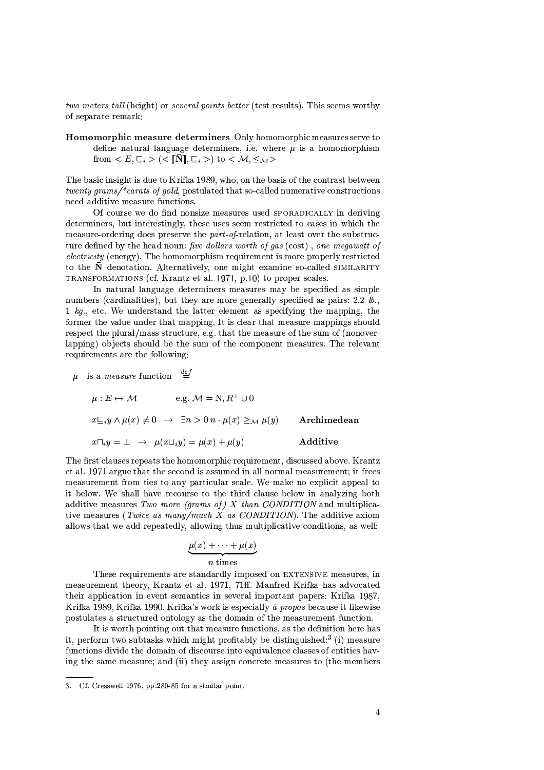two meters tall (height) or several points better (test results). This seems worthy of separate remark:

Homomorphic measure determiners Only homomorphic measures serve to define natural language determiners, i.e. where  $\mu$  is a homomorphism from  $\langle E, \underline{\square}_i \rangle$   $(\langle [\overline{\mathbf{N}}], \underline{\square}_i \rangle)$  to  $\langle \mathcal{M}, \leq_{\mathcal{M}} \rangle$ 

The basic insight is due to Krifka 1989, who, on the basis of the contrast between twenty grams/\*carats of gold, postulated that so-called numerative constructions need additive measure functions.

Of course we do find nonsize measures used SPORADICALLY in deriving determiners, but interestingly, these uses seem restricted to cases in which the measure-ordering does preserve the part-of-relation, at least over the substructure defined by the head noun: five dollars worth of gas (cost), one megawatt of *electricity* (energy). The homomorphism requirement is more properly restricted to the  $\bar{\mathbf{N}}$  denotation. Alternatively, one might examine so-called SIMILARITY TRANSFORMATIONS (cf. Krantz et al. 1971, p.10) to proper scales.

In natural language determiners measures may be specified as simple numbers (cardinalities), but they are more generally specified as pairs; 2.2  $lb$ . 1  $kg$ ., etc. We understand the latter element as specifying the mapping, the former the value under that mapping. It is clear that measure mappings should respect the plural/mass structure, e.g. that the measure of the sum of (nonoverlapping) objects should be the sum of the component measures. The relevant requirements are the following:

 $\mu$  is a *measure* function  $\stackrel{def}{=}$ 

 $\mu : E \mapsto \mathcal{M}$  e.g.  $\mathcal{M} = N, R^+ \cup 0$  $x \sqsubseteq_i y \wedge \mu(x) \neq 0 \rightarrow \exists n > 0 \; n \cdot \mu(x) \geq_{\mathcal{M}} \mu(y)$ Archimedean  $x\Box_i y = \bot \rightarrow \mu(x\Box_i y) = \mu(x) + \mu(y)$ Additive

The first clauses repeats the homomorphic requirement, discussed above. Krantz et al. 1971 argue that the second is assumed in all normal measurement; it frees measurement from ties to any particular scale. We make no explicit appeal to it below. We shall have recourse to the third clause below in analyzing both additive measures Two more (grams of)  $X$  than CONDITION and multiplicative measures (*Twice as many/much X as CONDITION*). The additive axiom allows that we add repeatedly, allowing thus multiplicative conditions, as well:

$$
\underbrace{\mu(x) + \cdots + \mu(x)}_{n \text{ times}}
$$

These requirements are standardly imposed on EXTENSIVE measures, in measurement theory, Krantz et al. 1971, 71ff. Manfred Krifka has advocated their application in event semantics in several important papers: Krifka 1987, Krifka 1989, Krifka 1990. Krifka's work is especially à propos because it likewise postulates a structured ontology as the domain of the measurement function.

It is worth pointing out that measure functions, as the definition here has it, perform two subtasks which might profitably be distinguished:<sup>3</sup> (i) measure functions divide the domain of discourse into equivalence classes of entities having the same measure; and (ii) they assign concrete measures to (the members

<sup>3.</sup> Cf. Cresswell 1976, pp.280-85 for a similar point.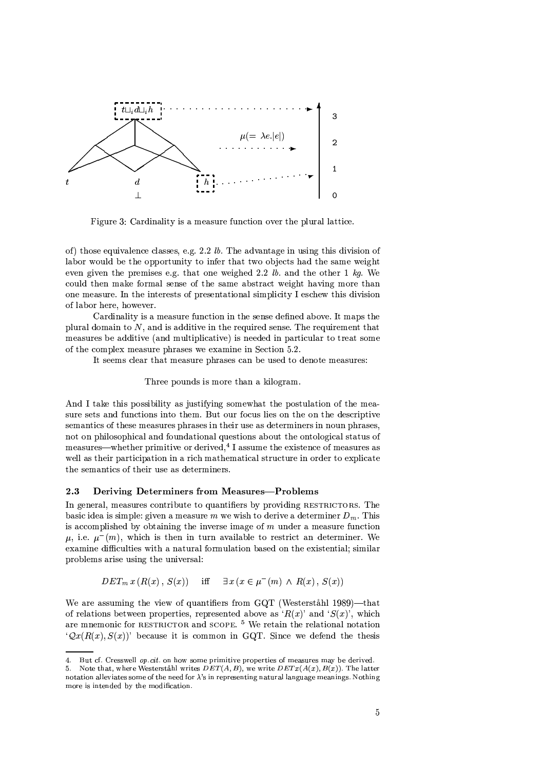

Figure 3: Cardinality is a measure function over the plural lattice.

of) those equivalence classes, e.g. 2.2  $lb$ . The advantage in using this division of labor would be the opportunity to infer that two objects had the same weight even given the premises e.g. that one weighed 2.2 lb. and the other 1 kg. We could then make formal sense of the same abstract weight having more than one measure. In the interests of presentational simplicity I eschew this division of labor here, however.

Cardinality is a measure function in the sense defined above. It maps the plural domain to  $N$ , and is additive in the required sense. The requirement that measures be additive (and multiplicative) is needed in particular to treat some of the complex measure phrases we examine in Section 5.2.

It seems clear that measure phrases can be used to denote measures:

# Three pounds is more than a kilogram.

And I take this possibility as justifying somewhat the postulation of the measure sets and functions into them. But our focus lies on the on the descriptive semantics of these measures phrases in their use as determiners in noun phrases, not on philosophical and foundational questions about the ontological status of measures—whether primitive or derived,<sup>4</sup> I assume the existence of measures as well as their participation in a rich mathematical structure in order to explicate the semantics of their use as determiners.

#### 2.3 Deriving Determiners from Measures-Problems

In general, measures contribute to quantifiers by providing RESTRICTORS. The basic idea is simple: given a measure m we wish to derive a determiner  $D_m$ . This is accomplished by obtaining the inverse image of  $m$  under a measure function  $\mu$ , i.e.  $\mu^-(m)$ , which is then in turn available to restrict an determiner. We examine difficulties with a natural formulation based on the existential; similar problems arise using the universal:

$$
DET_m x (R(x), S(x)) \quad \text{iff} \quad \exists x (x \in \mu^-(m) \land R(x), S(x))
$$

We are assuming the view of quantifiers from GQT (Westerståhl 1989)—that of relations between properties, represented above as ' $R(x)$ ' and ' $S(x)$ ', which are mnemonic for RESTRICTOR and SCOPE.<sup>5</sup> We retain the relational notation  $\mathcal{Q}_{\mathcal{X}}(R(x), S(x))$  because it is common in GQT. Since we defend the thesis

 $4<sup>1</sup>$ But cf. Cresswell op.cit. on how some primitive properties of measures may be derived.

<sup>5.</sup> Note that, where Westerståhl writes  $DET(A, B)$ , we write  $DETx(A(x), B(x))$ . The latter notation alleviates some of the need for  $\lambda$ 's in representing natural language meanings. Nothing more is intended by the modification.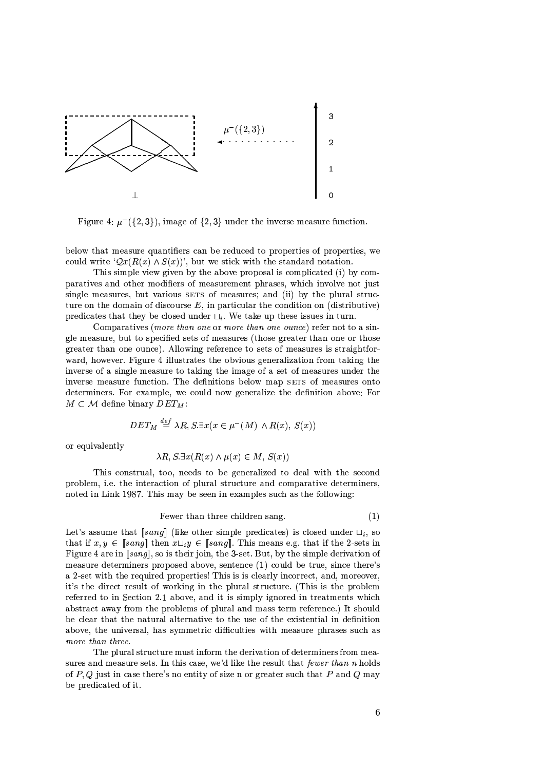

Figure 4:  $\mu^-(\{2,3\})$ , image of  $\{2,3\}$  under the inverse measure function.

below that measure quantifiers can be reduced to properties of properties, we could write  $\mathcal{Q}x(R(x) \wedge S(x))$ , but we stick with the standard notation.

This simple view given by the above proposal is complicated (i) by comparatives and other modifiers of measurement phrases, which involve not just single measures, but various SETS of measures; and (ii) by the plural structure on the domain of discourse  $E$ , in particular the condition on (distributive) predicates that they be closed under  $\sqcup_i$ . We take up these issues in turn.

Comparatives (more than one or more than one ounce) refer not to a single measure, but to specified sets of measures (those greater than one or those greater than one ounce). Allowing reference to sets of measures is straightforward, however. Figure 4 illustrates the obvious generalization from taking the inverse of a single measure to taking the image of a set of measures under the inverse measure function. The definitions below map SETS of measures onto determiners. For example, we could now generalize the definition above: For  $M \subset \mathcal{M}$  define binary  $DET_M$ :

$$
DET_M \stackrel{def}{=} \lambda R, S \exists x (x \in \mu^-(M) \land R(x), S(x))
$$

or equivalently

$$
\lambda R, S.\exists x (R(x) \land \mu(x) \in M, S(x))
$$

This construal, too, needs to be generalized to deal with the second problem, i.e. the interaction of plural structure and comparative determiners, noted in Link 1987. This may be seen in examples such as the following:

$$
Fewer than three children sang. \t(1)
$$

Let's assume that [sang] (like other simple predicates) is closed under  $\sqcup_i$ , so that if  $x, y \in [sang]$  then  $x \sqcup_i y \in [sang]$ . This means e.g. that if the 2-sets in Figure 4 are in [sang], so is their join, the 3-set. But, by the simple derivation of measure determiners proposed above, sentence (1) could be true, since there's a 2-set with the required properties! This is is clearly incorrect, and, moreover, it's the direct result of working in the plural structure. (This is the problem referred to in Section 2.1 above, and it is simply ignored in treatments which abstract away from the problems of plural and mass term reference.) It should be clear that the natural alternative to the use of the existential in definition above, the universal, has symmetric difficulties with measure phrases such as more than three.

The plural structure must inform the derivation of determiners from measures and measure sets. In this case, we'd like the result that fewer than n holds of P, Q just in case there's no entity of size n or greater such that P and Q may be predicated of it.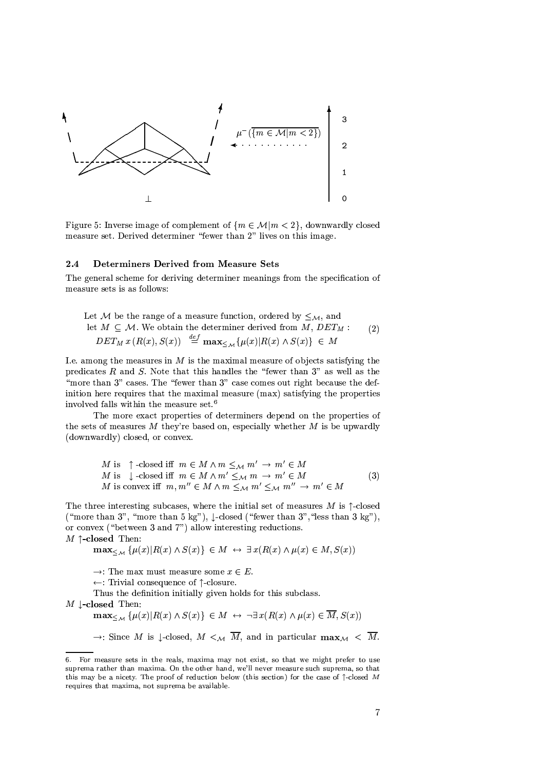

Figure 5: Inverse image of complement of  $\{m \in \mathcal{M} | m < 2\}$ , downwardly closed measure set. Derived determiner "fewer than 2" lives on this image.

#### $2.4$ **Determiners Derived from Measure Sets**

The general scheme for deriving determiner meanings from the specification of measure sets is as follows:

Let M be the range of a measure function, ordered by  $\leq_{\mathcal{M}}$ , and

let 
$$
M \subseteq M
$$
. We obtain the determiner derived from  $M$ ,  $DET_M$ :  
\n $DET_M x (R(x), S(x)) \stackrel{def}{=} \max_{\leq M} {\mu(x) | R(x) \wedge S(x)} \in M$ 

I.e. among the measures in  $M$  is the maximal measure of objects satisfying the predicates  $R$  and  $S$ . Note that this handles the "fewer than 3" as well as the "more than 3" cases. The "fewer than 3" case comes out right because the definition here requires that the maximal measure (max) satisfying the properties involved falls within the measure set.<sup>6</sup>

The more exact properties of determiners depend on the properties of the sets of measures  $M$  they're based on, especially whether  $M$  is be upwardly (downwardly) closed, or convex.

$$
M \text{ is } \uparrow \text{-closed iff } m \in M \land m \leq_M m' \to m' \in M
$$
  

$$
M \text{ is } \downarrow \text{-closed iff } m \in M \land m' \leq_M m \to m' \in M
$$
  

$$
M \text{ is convex iff } m, m'' \in M \land m \leq_M m' \leq_M m'' \to m' \in M
$$
 (3)

The three interesting subcases, where the initial set of measures M is  $\uparrow$ -closed ("more than 3", "more than 5 kg"),  $\downarrow$ -closed ("fewer than 3", "less than 3 kg"), or convex ("between 3 and 7") allow interesting reductions.

 $M \uparrow$ -closed Then:

$$
\mathbf{max}_{\leq M} \left\{ \mu(x) | R(x) \land S(x) \right\} \in M \leftrightarrow \exists x (R(x) \land \mu(x) \in M, S(x))
$$

 $\rightarrow$ : The max must measure some  $x \in E$ .

 $\leftarrow$ : Trivial consequence of  $\uparrow$ -closure.

Thus the definition initially given holds for this subclass.

 $M \downarrow$ -closed Then:

 $\mathbf{max}_{\leq \mathcal{M}}\ \{\mu(x)| R(x) \land S(x)\} \ \in M \ \ \leftrightarrow \ \ \neg \exists\, x (R(x) \land \mu(x) \in \overline{M}, S(x))$ 

 $\rightarrow$ : Since M is l-closed, M  $\lt_M \overline{M}$ , and in particular  $\max_{\mathcal{M}} \lt \overline{M}$ .

<sup>6.</sup> For measure sets in the reals, maxima may not exist, so that we might prefer to use suprema rather than maxima. On the other hand, we'll never measure such suprema, so that this may be a nicety. The proof of reduction below (this section) for the case of  $\uparrow$ -closed M requires that maxima, not suprema be available.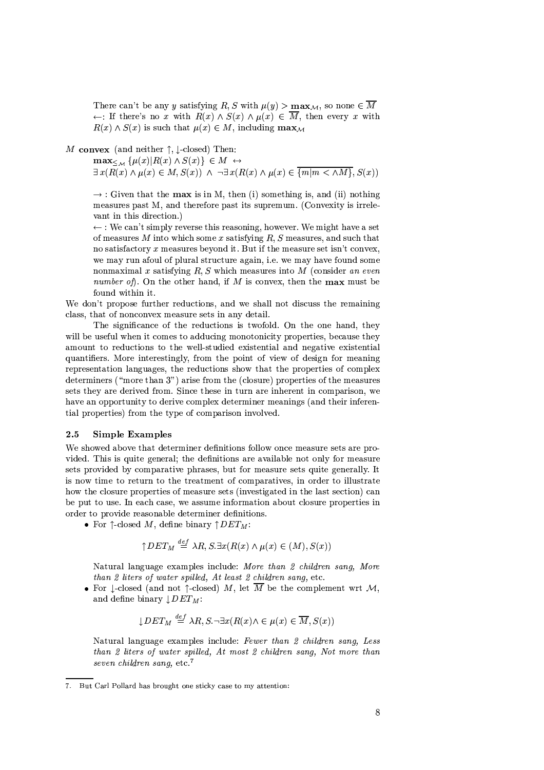There can't be any y satisfying R, S with  $\mu(y) > \max_{\mathcal{M}}$ , so none  $\in \overline{M}$  $\leftarrow$ : If there's no x with  $R(x) \wedge S(x) \wedge \mu(x) \in \overline{M}$ , then every x with  $R(x) \wedge S(x)$  is such that  $\mu(x) \in M$ , including  $\max_{M}$ 

M convex (and neither  $\uparrow$ ,  $\downarrow$ -closed) Then:

 $\max_{\leq M} \{\mu(x)|R(x) \wedge S(x)\} \in M \leftrightarrow \exists x(R(x) \wedge \mu(x) \in M, S(x)) \wedge \neg \exists x(R(x) \wedge \mu(x) \in \overline{\{m|m \langle \wedge M\}, S(x))\}}$ 

 $\rightarrow$ : Given that the max is in M, then (i) something is, and (ii) nothing measures past M, and therefore past its supremum. (Convexity is irrelevant in this direction.)

 $\leftarrow$ : We can't simply reverse this reasoning, however. We might have a set of measures M into which some x satisfying R, S measures, and such that no satisfactory x measures beyond it. But if the measure set isn't convex. we may run afoul of plural structure again, i.e. we may have found some nonmaximal x satisfying  $R, S$  which measures into M (consider an even *number of*). On the other hand, if M is convex, then the **max** must be found within it.

We don't propose further reductions, and we shall not discuss the remaining class, that of nonconvex measure sets in any detail.

The significance of the reductions is twofold. On the one hand, they will be useful when it comes to adducing monotonicity properties, because they amount to reductions to the well-studied existential and negative existential quantifiers. More interestingly, from the point of view of design for meaning representation languages, the reductions show that the properties of complex determiners ("more than 3") arise from the (closure) properties of the measures sets they are derived from. Since these in turn are inherent in comparison, we have an opportunity to derive complex determiner meanings (and their inferential properties) from the type of comparison involved.

## 2.5 **Simple Examples**

We showed above that determiner definitions follow once measure sets are provided. This is quite general; the definitions are available not only for measure sets provided by comparative phrases, but for measure sets quite generally. It is now time to return to the treatment of comparatives, in order to illustrate how the closure properties of measure sets (investigated in the last section) can be put to use. In each case, we assume information about closure properties in order to provide reasonable determiner definitions.

• For  $\uparrow$ -closed M, define binary  $\uparrow$   $DET_M$ :

$$
\uparrow
$$
 *DEF<sub>M</sub>*  $\stackrel{def}{=} \lambda R$ , *S*.  $\exists x (R(x) \land \mu(x) \in (M), S(x))$ 

Natural language examples include: More than 2 children sana. More than 2 liters of water spilled. At least 2 children sang. etc.

• For 1-closed (and not 1-closed) M, let  $\overline{M}$  be the complement wrt M. and define binary  $\downarrow$   $DET_M$ :

$$
\downarrow DET_M \stackrel{def}{=} \lambda R, S. \neg \exists x (R(x) \land \in \mu(x) \in \overline{M}, S(x))
$$

Natural language examples include: Fewer than 2 children sang, Less than 2 liters of water spilled, At most 2 children sang, Not more than seven children sang, etc.<sup>7</sup>

<sup>7.</sup> But Carl Pollard has brought one sticky case to my attention: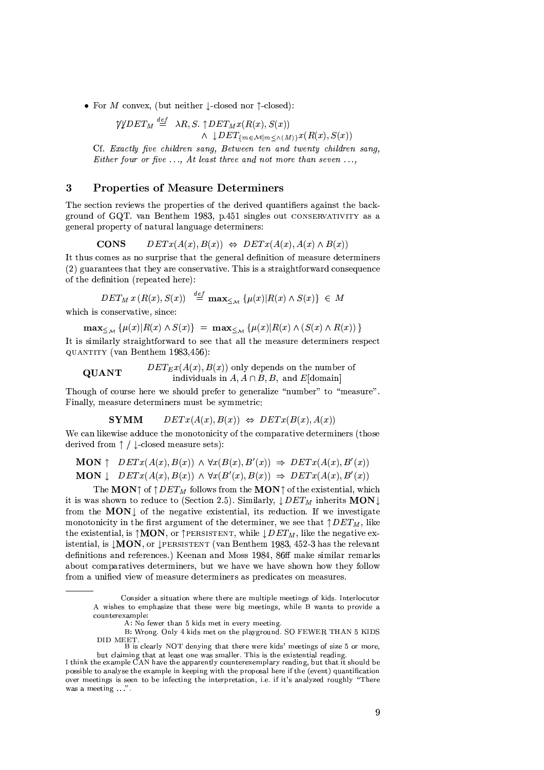• For M convex, (but neither  $\downarrow$ -closed nor  $\uparrow$ -closed):

 $\begin{array}{lll} {\mathcal W}{\mathcal D}E{T_M} \stackrel{def}{=} & \lambda R, S.\uparrow {\mathcal D}E{T_M}x(R(x),S(x)) &\\ & \wedge \;\downarrow {\mathcal D}E{T_{\{m\in \mathcal{M}| m\leq \wedge (M)\}}x(R(x),S(x))} \end{array}$ Cf. Exactly five children sang, Between ten and twenty children sang, Either four or five  $\dots$ , At least three and not more than seven  $\dots$ ,

### **Properties of Measure Determiners** 3

The section reviews the properties of the derived quantifiers against the background of GQT, van Benthem 1983, p.451 singles out CONSERVATIVITY as a general property of natural language determiners:

**CONS**  $DETx(A(x), B(x)) \Leftrightarrow DETx(A(x), A(x) \wedge B(x))$ 

It thus comes as no surprise that the general definition of measure determiners (2) guarantees that they are conservative. This is a straightforward consequence of the definition (repeated here):

 $DET_M x(R(x), S(x)) \stackrel{def}{=} \max_{\leq_M} {\mu(x)R(x) \wedge S(x)} \in M$ 

which is conservative, since:

$$
\max_{\leq M} \left\{ \mu(x) | R(x) \wedge S(x) \right\} = \max_{\leq M} \left\{ \mu(x) | R(x) \wedge (S(x) \wedge R(x)) \right\}
$$

It is similarly straightforward to see that all the measure determiners respect QUANTITY (van Benthem 1983,456):

 $DET_{E}x(A(x), B(x))$  only depends on the number of **QUANT** individuals in  $A, A \cap B, B$ , and  $E$ [domain]

Though of course here we should prefer to generalize "number" to "measure". Finally, measure determiners must be symmetric:

> **SYMM**  $DETx(A(x), B(x)) \Leftrightarrow DETx(B(x), A(x))$

We can likewise adduce the monotonicity of the comparative determiners (those derived from  $\uparrow$  /  $\downarrow$ -closed measure sets):

**MON**  $\uparrow$   $DETx(A(x),B(x)) \wedge \forall x(B(x),B'(x)) \Rightarrow DETx(A(x),B'(x))$ **MON**  $\downarrow$   $DETx(A(x), B(x)) \wedge \forall x(B'(x), B(x)) \Rightarrow DETx(A(x), B'(x))$ 

The MON† of  $\uparrow$  DET<sub>M</sub> follows from the MON† of the existential, which it is was shown to reduce to (Section 2.5). Similarly,  $\downarrow$  DET<sub>M</sub> inherits **MON** from the MON<sub>I</sub> of the negative existential, its reduction. If we investigate monotonicity in the first argument of the determiner, we see that  $\uparrow$  DET<sub>M</sub>, like the existential, is  $\uparrow$ **MON**, or  $\uparrow$ PERSISTENT, while  $\downarrow$  *DET<sub>M</sub>*, like the negative existential, is  $\downarrow$ MON, or  $\downarrow$ PERSISTENT (van Benthem 1983, 452-3 has the relevant definitions and references.) Keenan and Moss 1984, 86ff make similar remarks about comparatives determiners, but we have we have shown how they follow from a unified view of measure determiners as predicates on measures.

A: No fewer than 5 kids met in every meeting.

B: Wrong. Only 4 kids met on the playground. SO FEWER THAN 5 KIDS DID MEET.<br>B is clearly NOT denying that there were kids' meetings of size 5 or more,

Consider a situation where there are multiple meetings of kids. Interlocutor A wishes to emphasize that these were big meetings, while B wants to provide a counterexample:

but claiming that at least one was smaller. This is the existential reading.

I think the example CAN have the apparently counterexemplary reading, but that it should be possible to analyse the example in keeping with the proposal here if the (event) quantification over meetings is seen to be infecting the interpretation, i.e. if it's analyzed roughly "There was a meeting  $\sqrt{n}$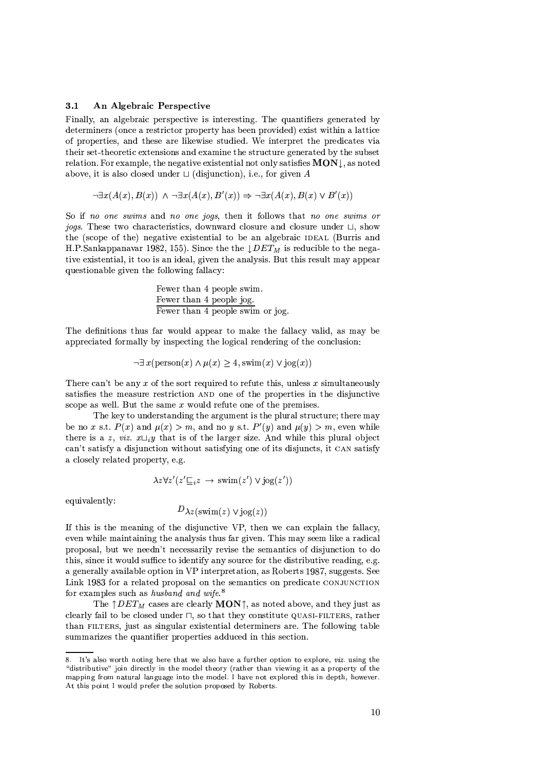### $3.1$ An Algebraic Perspective

Finally, an algebraic perspective is interesting. The quantifiers generated by determiners (once a restrictor property has been provided) exist within a lattice of properties, and these are likewise studied. We interpret the predicates via their set-theoretic extensions and examine the structure generated by the subset relation. For example, the negative existential not only satisfies  $\text{MON}\downarrow$ , as noted above, it is also closed under  $\sqcup$  (disjunction), i.e., for given A

$$
\neg \exists x (A(x), B(x)) \land \neg \exists x (A(x), B'(x)) \Rightarrow \neg \exists x (A(x), B(x) \lor B'(x))
$$

So if no one swims and no one jogs, then it follows that no one swims or jogs. These two characteristics, downward closure and closure under  $\sqcup$ , show the (scope of the) negative existential to be an algebraic IDEAL (Burris and H.P.Sankappanavar 1982, 155). Since the the  $\downarrow$  DET<sub>M</sub> is reducible to the negative existential, it too is an ideal, given the analysis. But this result may appear questionable given the following fallacy:

The definitions thus far would appear to make the fallacy valid, as may be appreciated formally by inspecting the logical rendering of the conclusion:

$$
\neg \exists x (\text{person}(x) \land \mu(x) \ge 4, \text{swim}(x) \lor \text{jog}(x))
$$

There can't be any  $x$  of the sort required to refute this, unless  $x$  simultaneously satisfies the measure restriction AND one of the properties in the disjunctive scope as well. But the same  $x$  would refute one of the premises.

The key to understanding the argument is the plural structure; there may be no x s.t.  $P(x)$  and  $\mu(x) > m$ , and no y s.t.  $P'(y)$  and  $\mu(y) > m$ , even while there is a z, viz.  $x \sqcup_i y$  that is of the larger size. And while this plural object can't satisfy a disjunction without satisfying one of its disjuncts, it CAN satisfy a closely related property, e.g.

$$
\lambda z \forall z'(z' \sqsubseteq_i z \rightarrow \text{swim}(z') \lor \text{jog}(z'))
$$

equivalently:

$$
D_{\lambda z}(\text{swim}(z) \vee \text{jog}(z))
$$

If this is the meaning of the disjunctive VP, then we can explain the fallacy, even while maintaining the analysis thus far given. This may seem like a radical proposal, but we needn't necessarily revise the semantics of disjunction to do this, since it would suffice to identify any source for the distributive reading, e.g. a generally available option in VP interpretation, as Roberts 1987, suggests. See Link 1983 for a related proposal on the semantics on predicate CONJUNCTION for examples such as husband and wife.<sup>8</sup>

The  $\uparrow$  DET<sub>M</sub> cases are clearly **MON** $\uparrow$ , as noted above, and they just as clearly fail to be closed under  $\sqcap$ , so that they constitute QUASI-FILTERS, rather than FILTERS, just as singular existential determiners are. The following table summarizes the quantifier properties adduced in this section.

<sup>8.</sup> It's also worth noting here that we also have a further option to explore, *viz.* using the "distributive" join directly in the model theory (rather than viewing it as a property of the mapping from natural language into the model. I have not explored this in depth, however. At this point I would prefer the solution proposed by Roberts.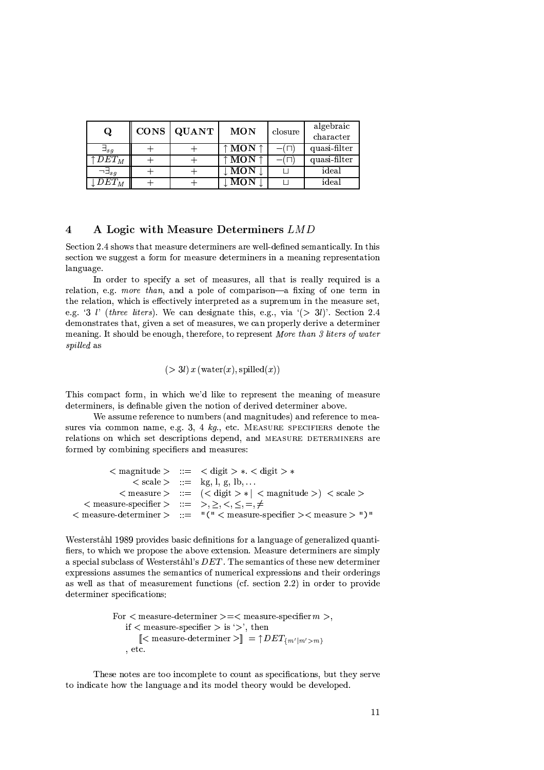| Q                         | <b>CONS</b> | QUANT | <b>MON</b>                | closure | algebraic<br>character |
|---------------------------|-------------|-------|---------------------------|---------|------------------------|
| $\sqsupset$ <sub>sq</sub> |             |       | $\uparrow$ MON $\uparrow$ |         | quasi-filter           |
| $DET_M$                   |             |       | $\uparrow$ MON $\uparrow$ |         | quasi-filter           |
| $\neg \exists_{sa}$       |             |       | MON                       |         | ideal                  |
| $DET_M$                   |             |       | <b>MON</b>                |         | ideal                  |

## $\overline{\mathbf{4}}$ A Logic with Measure Determiners LMD

Section 2.4 shows that measure determiners are well-defined semantically. In this section we suggest a form for measure determiners in a meaning representation language.

In order to specify a set of measures, all that is really required is a relation, e.g. more than, and a pole of comparison—a fixing of one term in the relation, which is effectively interpreted as a supremum in the measure set, e.g. '3 l' (three liters). We can designate this, e.g., via '(> 3l)'. Section 2.4 demonstrates that, given a set of measures, we can properly derive a determiner meaning. It should be enough, therefore, to represent More than 3 liters of water spilled as

$$
(>3l)x
$$
 (water $(x)$ , spilled $(x)$ )

This compact form, in which we'd like to represent the meaning of measure determiners, is definable given the notion of derived determiner above.

We assume reference to numbers (and magnitudes) and reference to measures via common name, e.g. 3, 4  $kg$ , etc. MEASURE SPECIFIERS denote the relations on which set descriptions depend, and MEASURE DETERMINERS are formed by combining specifiers and measures:

|                                                                                   | $\langle$ magnitude $\rangle$ ::= $\langle$ digit $\rangle * \langle$ digit $\rangle *$                        |
|-----------------------------------------------------------------------------------|----------------------------------------------------------------------------------------------------------------|
|                                                                                   | $\langle$ scale $\rangle$ ::= kg, l, g, lb,                                                                    |
|                                                                                   | $\langle$ measure $> ::= (\langle$ digit $\rangle *  $ $\langle$ magnitude $\rangle$ $\langle$ scale $\rangle$ |
| $\langle$ measure-specifier $\rangle$ ::= >, >, $\langle$ , $\langle$ , =, $\neq$ |                                                                                                                |
|                                                                                   | $<$ measure-determiner > ::= "(" $<$ measure-specifier > $<$ measure > ")"                                     |

Westerståhl 1989 provides basic definitions for a language of generalized quantifiers, to which we propose the above extension. Measure determiners are simply a special subclass of Westerståhl's DET. The semantics of these new determiner expressions assumes the semantics of numerical expressions and their orderings as well as that of measurement functions (cf. section 2.2) in order to provide determiner specifications:

> For  $\langle$  measure-determiner  $\rangle = \langle$  measure-specifier  $m >$ , if  $\langle$  measure-specifier  $>$  is ' $>$ ', then  $\ll$  measure-determiner  $\ll$  =  $\uparrow$  DET<sub>{m'|m'>m}</sub>  $, etc.$

These notes are too incomplete to count as specifications, but they serve to indicate how the language and its model theory would be developed.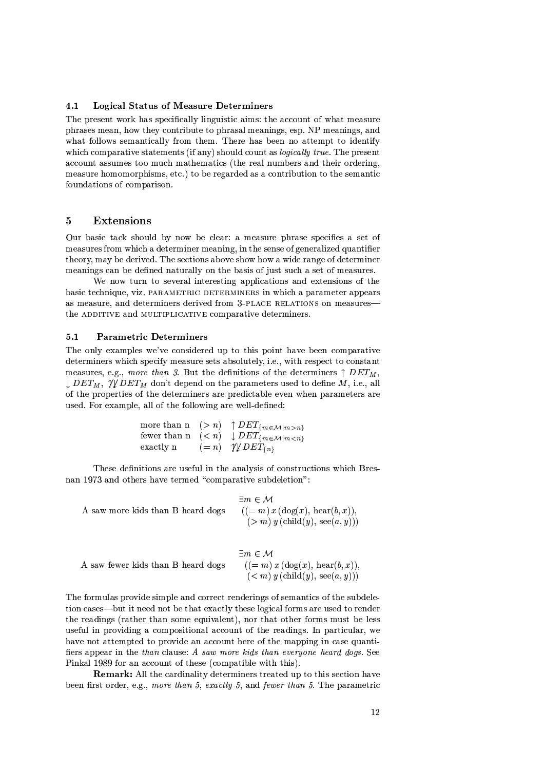#### 4.1 **Logical Status of Measure Determiners**

The present work has specifically linguistic aims: the account of what measure phrases mean, how they contribute to phrasal meanings, esp. NP meanings, and what follows semantically from them. There has been no attempt to identify which comparative statements (if any) should count as *logically true*. The present account assumes too much mathematics (the real numbers and their ordering, measure homomorphisms, etc.) to be regarded as a contribution to the semantic foundations of comparison.

### $\overline{5}$ Extensions

Our basic tack should by now be clear: a measure phrase specifies a set of measures from which a determiner meaning, in the sense of generalized quantifier theory, may be derived. The sections above show how a wide range of determiner meanings can be defined naturally on the basis of just such a set of measures.

We now turn to several interesting applications and extensions of the basic technique, viz. PARAMETRIC DETERMINERS in which a parameter appears as measure, and determiners derived from 3-PLACE RELATIONS on measures the ADDITIVE and MULTIPLICATIVE comparative determiners.

### $5.1$ **Parametric Determiners**

The only examples we've considered up to this point have been comparative determiners which specify measure sets absolutely, i.e., with respect to constant measures, e.g., more than 3. But the definitions of the determiners  $\uparrow$  DET<sub>M</sub>,  $\downarrow$  DET<sub>M</sub>,  $\sqrt[n]{\text{DET}_M}$  don't depend on the parameters used to define M, i.e., all of the properties of the determiners are predictable even when parameters are used. For example, all of the following are well-defined:

|           | more than $n \quad (>n) \quad \uparrow$ $DET_{\{m \in \mathcal{M}   m > n\}}$ |
|-----------|-------------------------------------------------------------------------------|
|           | fewer than $n \leq n$ $\downarrow$ $DET_{\{m \in \mathcal{M}   m \leq n\}}$   |
| exactly n | $(= n)$ $\gamma \psi DET_{\{n\}}$                                             |

These definitions are useful in the analysis of constructions which Bresnan 1973 and others have termed "comparative subdeletion":

|                                   | $\exists m \in \mathcal{M}$              |
|-----------------------------------|------------------------------------------|
| A saw more kids than B heard dogs | $((= m) x (\log(x), \text{hear}(b, x)),$ |
|                                   | $(> m) y$ (child(y), see(a, y)))         |

|                                    | $\exists m \in \mathcal{M}$              |
|------------------------------------|------------------------------------------|
| A saw fewer kids than B heard dogs | $((= m) x (\log(x), \text{hear}(b, x)),$ |
|                                    | $(m) y (child(y), see(a, y)))$           |

The formulas provide simple and correct renderings of semantics of the subdeletion cases—but it need not be that exactly these logical forms are used to render the readings (rather than some equivalent), nor that other forms must be less useful in providing a compositional account of the readings. In particular, we have not attempted to provide an account here of the mapping in case quantifiers appear in the than clause: A saw more kids than everyone heard dogs. See Pinkal 1989 for an account of these (compatible with this).

Remark: All the cardinality determiners treated up to this section have been first order, e.g., more than 5, exactly 5, and fewer than 5. The parametric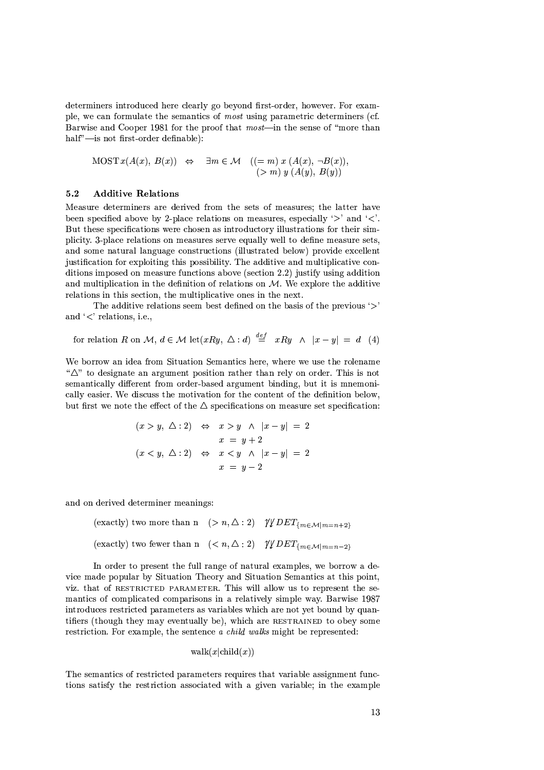determiners introduced here clearly go beyond first-order, however. For example, we can formulate the semantics of *most* using parametric determiners (cf. Barwise and Cooper 1981 for the proof that *most*—in the sense of "more than half"-is not first-order definable):

$$
MOST x(A(x), B(x)) \Leftrightarrow \exists m \in \mathcal{M} \quad ((= m) x (A(x), \neg B(x))
$$
  

$$
(\gt m) y (A(y), B(y))
$$

#### $5.2$ **Additive Relations**

Measure determiners are derived from the sets of measures; the latter have been specified above by 2-place relations on measures, especially ' $>$ ' and ' $\lt'$ '. But these specifications were chosen as introductory illustrations for their simplicity. 3-place relations on measures serve equally well to define measure sets, and some natural language constructions (illustrated below) provide excellent justification for exploiting this possibility. The additive and multiplicative conditions imposed on measure functions above (section 2.2) justify using addition and multiplication in the definition of relations on  $M$ . We explore the additive relations in this section, the multiplicative ones in the next.

The additive relations seem best defined on the basis of the previous  $\langle \rangle$ and  $\langle \, \cdot \, \rangle$  relations, i.e.,

for relation R on M,  $d \in M$  let(xRy,  $\triangle$  : d)  $\stackrel{def}{=} xRy \land |x-y| = d$  (4)

We borrow an idea from Situation Semantics here, where we use the rolename " $\Delta$ " to designate an argument position rather than rely on order. This is not semantically different from order-based argument binding, but it is mnemonically easier. We discuss the motivation for the content of the definition below, but first we note the effect of the  $\Delta$  specifications on measure set specification:

$$
(x > y, \triangle: 2) \Leftrightarrow x > y \wedge |x - y| = 2
$$
  

$$
x = y + 2
$$
  

$$
(x < y, \triangle: 2) \Leftrightarrow x < y \wedge |x - y| = 2
$$
  

$$
x = y - 2
$$

and on derived determiner meanings:

(exactly) two more than n  $(> n, \Delta:2)$   $\gamma \psi$   $DEF_{\{m \in \mathcal{M} | m = n+2\}}$ (exactly) two fewer than n  $(< n, \Delta : 2)$   $\forall \forall$  DET<sub>{m\interactler{D}{m}=n-2}</sub>

In order to present the full range of natural examples, we borrow a device made popular by Situation Theory and Situation Semantics at this point, viz, that of RESTRICTED PARAMETER. This will allow us to represent the semantics of complicated comparisons in a relatively simple way. Barwise 1987 introduces restricted parameters as variables which are not yet bound by quantifiers (though they may eventually be), which are RESTRAINED to obey some restriction. For example, the sentence a child walks might be represented:

$$
walk(x|child(x))
$$

The semantics of restricted parameters requires that variable assignment functions satisfy the restriction associated with a given variable; in the example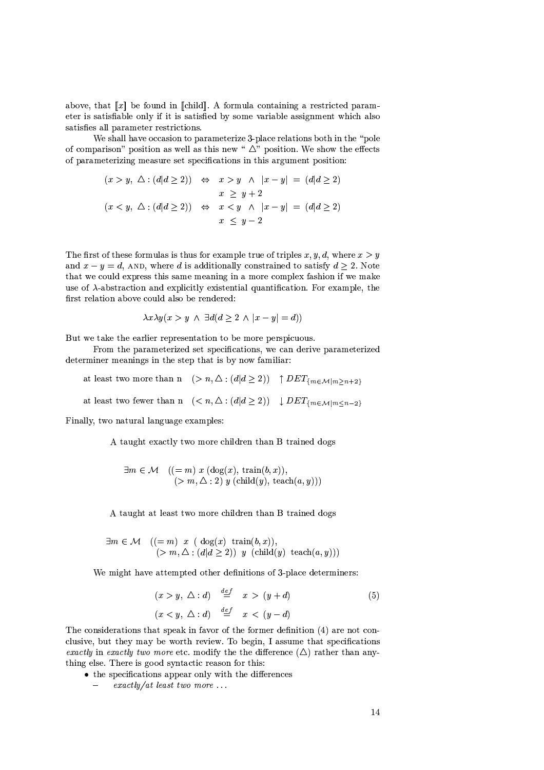above, that  $\llbracket x \rrbracket$  be found in  $\llbracket$  child  $\rrbracket$ . A formula containing a restricted parameter is satisfiable only if it is satisfied by some variable assignment which also satisfies all parameter restrictions.

We shall have occasion to parameterize 3-place relations both in the "pole" of comparison" position as well as this new " $\Delta$ " position. We show the effects of parameterizing measure set specifications in this argument position:

$$
(x > y, \Delta : (d|d \ge 2)) \Leftrightarrow x > y \wedge |x - y| = (d|d \ge 2)
$$
  

$$
x \ge y + 2
$$
  

$$
(x < y, \Delta : (d|d \ge 2)) \Leftrightarrow x < y \wedge |x - y| = (d|d \ge 2)
$$
  

$$
x \le y - 2
$$

The first of these formulas is thus for example true of triples  $x, y, d$ , where  $x > y$ and  $x - y = d$ , AND, where d is additionally constrained to satisfy  $d \ge 2$ . Note that we could express this same meaning in a more complex fashion if we make use of  $\lambda$ -abstraction and explicitly existential quantification. For example, the first relation above could also be rendered:

$$
\lambda x \lambda y(x > y \land \exists d(d \ge 2 \land |x - y| = d))
$$

But we take the earlier representation to be more perspicuous.

From the parameterized set specifications, we can derive parameterized determiner meanings in the step that is by now familiar:

at least two more than n  $(> n, \triangle : (d|d \ge 2)) \uparrow DET_{\{m \in \mathcal{M} | m \ge n+2\}}$ 

at least two fewer than  $n \leq (n, \Delta : (d/d \geq 2)) \cup DET_{\{m \in \mathcal{M} \mid m \leq n-2\}}$ 

Finally, two natural language examples:

A taught exactly two more children than B trained dogs

$$
\exists m \in \mathcal{M} \quad ((= m) \ x \ (\text{dog}(x), \ \text{train}(b, x)),(> m, \Delta : 2) \ y \ (\text{child}(y), \ \text{teach}(a, y)))
$$

A taught at least two more children than B trained dogs

$$
\exists m \in \mathcal{M} \quad ((= m) \ x \ (\text{dog}(x) \ \text{train}(b, x)),(> m, \Delta : (d|d \ge 2)) \ y \ (\text{child}(y) \ \text{teach}(a, y)))
$$

We might have attempted other definitions of 3-place determiners:

$$
(x > y, \triangle : d) \stackrel{def}{=} x > (y + d)
$$
  

$$
(x < y, \triangle : d) \stackrel{def}{=} x < (y - d)
$$
 (5)

The considerations that speak in favor of the former definition  $(4)$  are not conclusive, but they may be worth review. To begin, I assume that specifications exactly in exactly two more etc. modify the the difference  $(\triangle)$  rather than anything else. There is good syntactic reason for this:

- the specifications appear only with the differences
	- $\frac{exactly}{at}$  least two more ...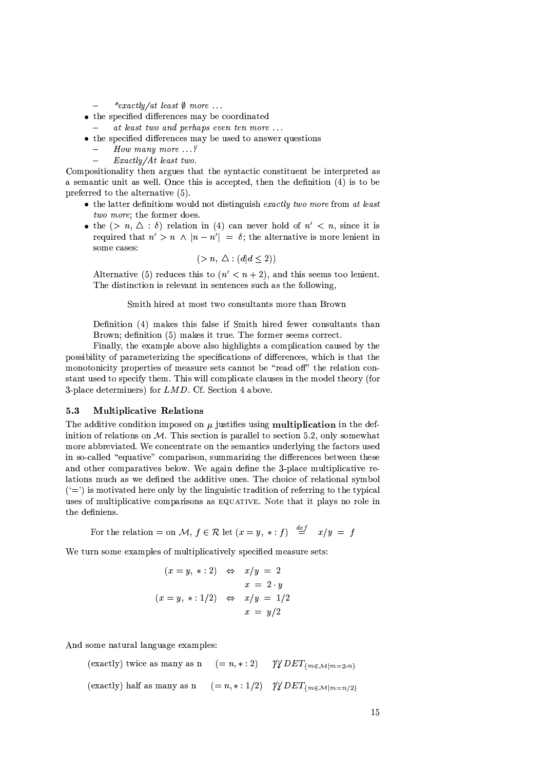- \*exactly/at least  $\emptyset$  more ...
- the specified differences may be coordinated
	- at least two and perhaps even ten more  $\dots$
- $\bullet$  the specified differences may be used to answer questions
	- How many more  $\ldots$ ?
	- $\pounds$ *xactly/At least two.*

Compositionality then argues that the syntactic constituent be interpreted as a semantic unit as well. Once this is accepted, then the definition  $(4)$  is to be preferred to the alternative (5).

- $\bullet$  the latter definitions would not distinguish exactly two more from at least two more; the former does.
- the  $(> n, \Delta : \delta)$  relation in (4) can never hold of  $n' < n$ , since it is required that  $n' > n \land |n - n'| = \delta$ ; the alternative is more lenient in some cases:

$$
(>n, \triangle: (d|d\leq 2))
$$

Alternative (5) reduces this to  $(n' < n + 2)$ , and this seems too lenient. The distinction is relevant in sentences such as the following,

# Smith hired at most two consultants more than Brown

Definition (4) makes this false if Smith hired fewer consultants than Brown; definition (5) makes it true. The former seems correct.

Finally, the example above also highlights a complication caused by the possibility of parameterizing the specifications of differences, which is that the monotonicity properties of measure sets cannot be "read off" the relation constant used to specify them. This will complicate clauses in the model theory (for 3-place determiners) for  $LMD$ . Cf. Section 4 above.

#### $5.3$ **Multiplicative Relations**

The additive condition imposed on  $\mu$  justifies using multiplication in the definition of relations on  $M$ . This section is parallel to section 5.2, only somewhat more abbreviated. We concentrate on the semantics underlying the factors used in so-called "equative" comparison, summarizing the differences between these and other comparatives below. We again define the 3-place multiplicative relations much as we defined the additive ones. The choice of relational symbol  $(2)$  is motivated here only by the linguistic tradition of referring to the typical uses of multiplicative comparisons as EQUATIVE. Note that it plays no role in the definiens.

For the relation = on M,  $f \in \mathcal{R}$  let  $(x = y, * : f) \stackrel{def}{=} x/y = f$ 

We turn some examples of multiplicatively specified measure sets:

$$
(x = y, * : 2) \Leftrightarrow x/y = 2
$$
  

$$
x = 2 \cdot y
$$
  

$$
(x = y, * : 1/2) \Leftrightarrow x/y = 1/2
$$
  

$$
x = y/2
$$

And some natural language examples:

 $(=n,*:2)$   $\mathcal{V} \psi \, DET_{\{m \in \mathcal{M} \mid m=2 \cdot n\}}$ (exactly) twice as many as n  $(= n, * : 1/2)$   $\gamma \psi$   $DEF_{\{m \in \mathcal{M} \mid m = n/2\}}$ (exactly) half as many as n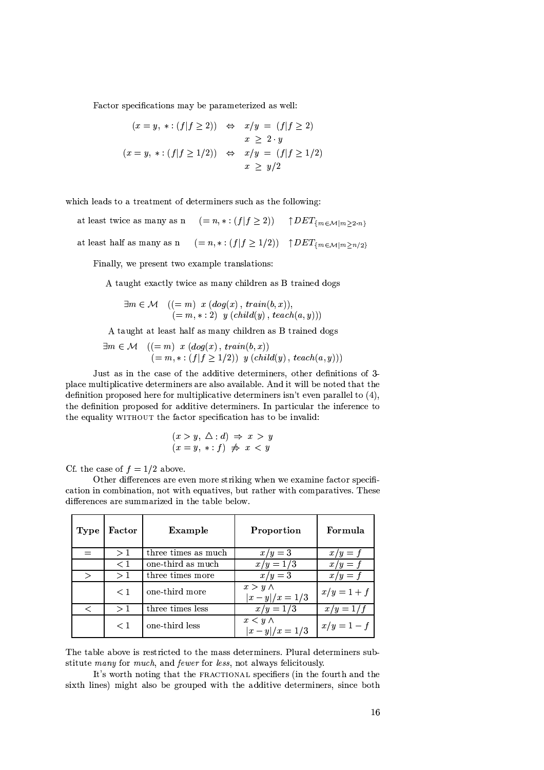Factor specifications may be parameterized as well:

$$
(x = y, * : (f|f \ge 2)) \Leftrightarrow x/y = (f|f \ge 2)
$$
  

$$
x \ge 2 \cdot y
$$
  

$$
(x = y, * : (f|f \ge 1/2)) \Leftrightarrow x/y = (f|f \ge 1/2)
$$
  

$$
x \ge y/2
$$

which leads to a treatment of determiners such as the following:

 $(=n,*:(f|f\geq 2)) \quad \uparrow DET_{\{m\in\mathcal{M}|m\geq 2\cdot n\}}$ at least twice as many as n at least half as many as n  $(=n,*:(f|f \ge 1/2)) \uparrow DEF_{\{m \in \mathcal{M} | m \ge n/2\}}$ 

Finally, we present two example translations:

A taught exactly twice as many children as B trained dogs

$$
\exists m \in \mathcal{M} \quad ((= m) \quad x \ (dog(x), train(b, x)),(= m, * : 2) \quad y \ (child(y), teach(a, y)))
$$

A taught at least half as many children as B trained dogs

$$
\exists m \in \mathcal{M} \quad ((= m) \quad x \, (dog(x), train(b, x))
$$
  

$$
(= m, * : (f | f \ge 1/2)) \quad y \, (child(y), teach(a, y)))
$$

Just as in the case of the additive determiners, other definitions of 3place multiplicative determiners are also available. And it will be noted that the definition proposed here for multiplicative determiners isn't even parallel to  $(4)$ , the definition proposed for additive determiners. In particular the inference to the equality WITHOUT the factor specification has to be invalid:

$$
(x > y, \triangle : d) \Rightarrow x > y
$$
  

$$
(x = y, * : f) \not\Rightarrow x < y
$$

Cf. the case of  $f = 1/2$  above.

Other differences are even more striking when we examine factor specification in combination, not with equatives, but rather with comparatives. These differences are summarized in the table below.

| <b>Type</b>  | Factor   | Example             | Proportion                        | Formula       |
|--------------|----------|---------------------|-----------------------------------|---------------|
|              | >1       | three times as much | $x/y=3$                           | $x/y = f$     |
|              | $\leq 1$ | one-third as much   | $x/y = 1/3$                       | $x/y = f$     |
| $\mathbf{I}$ | >1       | three times more    | $x/y=3$                           | $x/y = f$     |
|              | $\leq 1$ | one-third more      | $x > y \wedge$<br>$ x-y /x = 1/3$ | $x/y = 1 + f$ |
|              | >1       | three times less    | $x/y = 1/3$                       | $x/y = 1/f$   |
|              | $\leq 1$ | one-third less      | $x < y \wedge$<br>$ x-y /x = 1/3$ | $x/y=1-f$     |

The table above is restricted to the mass determiners. Plural determiners substitute many for much, and fewer for less, not always felicitously.

It's worth noting that the FRACTIONAL specifiers (in the fourth and the sixth lines) might also be grouped with the additive determiners, since both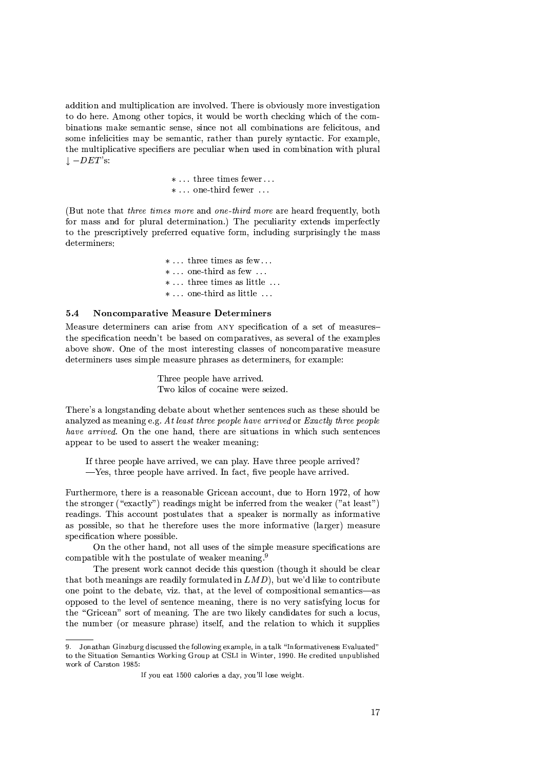addition and multiplication are involved. There is obviously more investigation to do here. Among other topics, it would be worth checking which of the combinations make semantic sense, since not all combinations are felicitous, and some infelicities may be semantic, rather than purely syntactic. For example, the multiplicative specifiers are peculiar when used in combination with plural  $\downarrow -DET$ 's:

> $* \dots$  three times fewer...  $* \dots$  one-third fewer  $\dots$

(But note that *three times more* and *one-third more* are heard frequently, both for mass and for plural determination.) The peculiarity extends imperfectly to the prescriptively preferred equative form, including surprisingly the mass determiners:

> $* \ldots$  three times as few  $\ldots$  $* \dots$  one-third as few  $\dots$  $* \dots$  three times as little  $\dots$  $* \dots$  one-third as little  $\dots$

#### $5.4$ **Noncomparative Measure Determiners**

Measure determiners can arise from ANY specification of a set of measuresthe specification needn't be based on comparatives, as several of the examples above show. One of the most interesting classes of noncomparative measure determiners uses simple measure phrases as determiners, for example:

> Three people have arrived. Two kilos of cocaine were seized.

There's a longstanding debate about whether sentences such as these should be analyzed as meaning e.g. At least three people have arrived or Exactly three people have arrived. On the one hand, there are situations in which such sentences appear to be used to assert the weaker meaning:

If three people have arrived, we can play. Have three people arrived?  $-$ Yes, three people have arrived. In fact, five people have arrived.

Furthermore, there is a reasonable Gricean account, due to Horn 1972, of how the stronger ("exactly") readings might be inferred from the weaker ("at least") readings. This account postulates that a speaker is normally as informative as possible, so that he therefore uses the more informative (larger) measure specification where possible.

On the other hand, not all uses of the simple measure specifications are compatible with the postulate of weaker meaning.<sup>9</sup>

The present work cannot decide this question (though it should be clear that both meanings are readily formulated in  $LMD$ ), but we'd like to contribute one point to the debate, viz. that, at the level of compositional semantics—as opposed to the level of sentence meaning, there is no very satisfying locus for the "Gricean" sort of meaning. The are two likely candidates for such a locus, the number (or measure phrase) itself, and the relation to which it supplies

<sup>9.</sup> Jonathan Ginzburg discussed the following example, in a talk "Informativeness Evaluated" to the Situation Semantics Working Group at CSLI in Winter, 1990. He credited unpublished work of Carston 1985:

If you eat 1500 calories a day, you'll lose weight.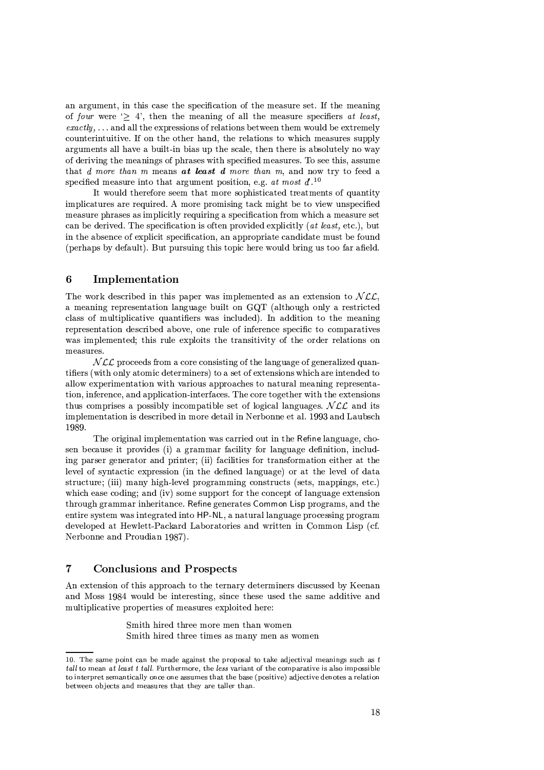an argument, in this case the specification of the measure set. If the meaning of four were  $\geq 4$ , then the meaning of all the measure specifiers at least,  $\mathit{exactly}$ ,... and all the expressions of relations between them would be extremely counterintuitive. If on the other hand, the relations to which measures supply arguments all have a built-in bias up the scale, then there is absolutely no way of deriving the meanings of phrases with specified measures. To see this, assume that d more than m means at least d more than m, and now try to feed a specified measure into that argument position, e.g. at most  $d^{l}$ .<sup>10</sup>

It would therefore seem that more sophisticated treatments of quantity implicatures are required. A more promising tack might be to view unspecified measure phrases as implicitly requiring a specification from which a measure set can be derived. The specification is often provided explicitly (at least, etc.), but in the absence of explicit specification, an appropriate candidate must be found (perhaps by default). But pursuing this topic here would bring us too far afield.

## 6 Implementation

The work described in this paper was implemented as an extension to  $NCL$ , a meaning representation language built on GQT (although only a restricted class of multiplicative quantifiers was included). In addition to the meaning representation described above, one rule of inference specific to comparatives was implemented; this rule exploits the transitivity of the order relations on measures.

 $NLL$  proceeds from a core consisting of the language of generalized quantifiers (with only atomic determiners) to a set of extensions which are intended to allow experimentation with various approaches to natural meaning representation, inference, and application-interfaces. The core together with the extensions thus comprises a possibly incompatible set of logical languages.  $NLL$  and its implementation is described in more detail in Nerbonne et al. 1993 and Laubsch 1989.

The original implementation was carried out in the Refine language, chosen because it provides (i) a grammar facility for language definition, including parser generator and printer; (ii) facilities for transformation either at the level of syntactic expression (in the defined language) or at the level of data structure; (iii) many high-level programming constructs (sets, mappings, etc.) which ease coding; and (iv) some support for the concept of language extension through grammar inheritance. Refine generates Common Lisp programs, and the entire system was integrated into HP-NL, a natural language processing program developed at Hewlett-Packard Laboratories and written in Common Lisp (cf. Nerbonne and Proudian 1987).

# $\overline{7}$ **Conclusions and Prospects**

An extension of this approach to the ternary determiners discussed by Keenan and Moss 1984 would be interesting, since these used the same additive and multiplicative properties of measures exploited here:

> Smith hired three more men than women Smith hired three times as many men as women

<sup>10.</sup> The same point can be made against the proposal to take adjectival meanings such as  $t$ tall to mean at least t tall. Furthermore, the less variant of the comparative is also impossible to interpret semantically once one assumes that the base (positive) adjective denotes a relation between objects and measures that they are taller than.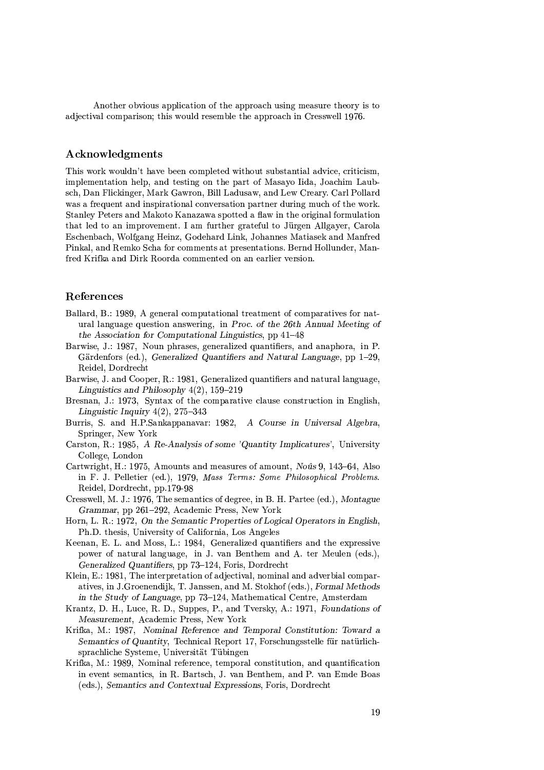Another obvious application of the approach using measure theory is to adjectival comparison: this would resemble the approach in Cresswell 1976.

# **Acknowledgments**

This work wouldn't have been completed without substantial advice, criticism, implementation help, and testing on the part of Masayo Iida, Joachim Laubsch, Dan Flickinger, Mark Gawron, Bill Ladusaw, and Lew Creary. Carl Pollard was a frequent and inspirational conversation partner during much of the work. Stanley Peters and Makoto Kanazawa spotted a flaw in the original formulation that led to an improvement. I am further grateful to Jürgen Allgayer, Carola Eschenbach, Wolfgang Heinz, Godehard Link, Johannes Matiasek and Manfred Pinkal, and Remko Scha for comments at presentations. Bernd Hollunder, Manfred Krifka and Dirk Roorda commented on an earlier version.

# References

- Ballard, B.: 1989, A general computational treatment of comparatives for natural language question answering, in Proc. of the 26th Annual Meeting of the Association for Computational Linguistics, pp 41-48
- Barwise, J.; 1987. Noun phrases, generalized quantifiers, and anaphora, in P. Gärdenfors (ed.), Generalized Quantifiers and Natural Language, pp 1-29, Reidel, Dordrecht
- Barwise, J. and Cooper, R.: 1981, Generalized quantifiers and natural language, Linguistics and Philosophy  $4(2)$ , 159-219
- Bresnan, J.: 1973, Syntax of the comparative clause construction in English, Linguistic Inquiry  $4(2)$ , 275–343
- Burris, S. and H.P.Sankappanavar: 1982, A Course in Universal Algebra, Springer, New York
- Carston, R.: 1985, A Re-Analysis of some 'Quantity Implicatures', University College, London
- Cartwright, H.: 1975, Amounts and measures of amount, *Noûs* 9, 143–64, Also in F. J. Pelletier (ed.), 1979, Mass Terms: Some Philosophical Problems. Reidel, Dordrecht, pp.179-98
- Cresswell, M. J.: 1976, The semantics of degree, in B. H. Partee (ed.), Montague Grammar, pp 261–292, Academic Press, New York
- Horn, L. R.: 1972, On the Semantic Properties of Logical Operators in English, Ph.D. thesis, University of California, Los Angeles
- Keenan, E. L. and Moss, L.: 1984, Generalized quantifiers and the expressive power of natural language, in J. van Benthem and A. ter Meulen (eds.), Generalized Quantifiers, pp 73-124, Foris, Dordrecht
- Klein, E.: 1981, The interpretation of adjectival, nominal and adverbial comparatives, in J.Groenendijk, T. Janssen, and M. Stokhof (eds.), Formal Methods in the Study of Language, pp 73–124, Mathematical Centre, Amsterdam
- Krantz, D. H., Luce, R. D., Suppes, P., and Tversky, A.: 1971, Foundations of Measurement, Academic Press, New York
- Krifka, M.: 1987, Nominal Reference and Temporal Constitution: Toward a Semantics of Quantity, Technical Report 17, Forschungsstelle für natürlichsprachliche Systeme, Universität Tübingen
- Krifka, M.: 1989, Nominal reference, temporal constitution, and quantification in event semantics, in R. Bartsch, J. van Benthem, and P. van Emde Boas (eds.), Semantics and Contextual Expressions, Foris, Dordrecht